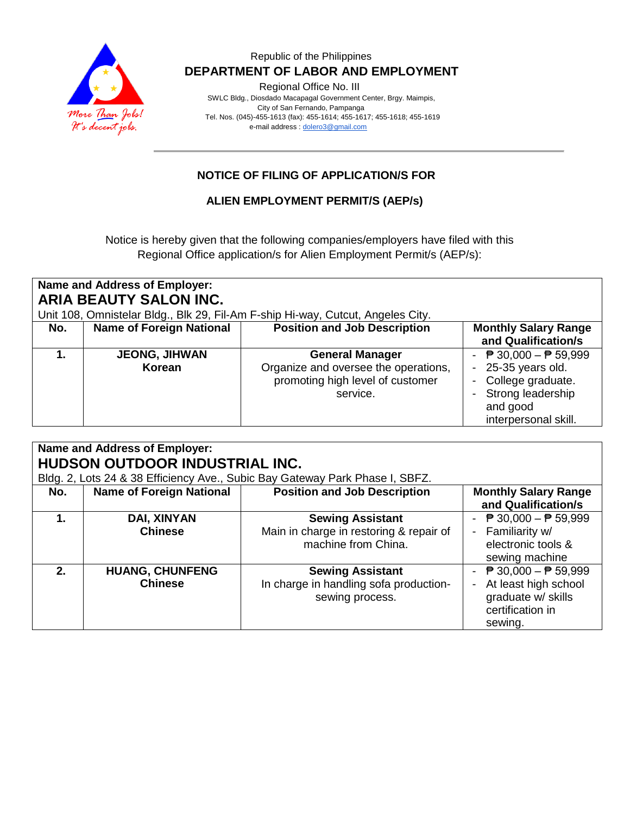

### Republic of the Philippines  **DEPARTMENT OF LABOR AND EMPLOYMENT**

Regional Office No. III

 SWLC Bldg., Diosdado Macapagal Government Center, Brgy. Maimpis, City of San Fernando, Pampanga Tel. Nos. (045)-455-1613 (fax): 455-1614; 455-1617; 455-1618; 455-1619 e-mail address [: dolero3@gmail.com](mailto:dolero3@gmail.com)

# **NOTICE OF FILING OF APPLICATION/S FOR**

### **ALIEN EMPLOYMENT PERMIT/S (AEP/s)**

Notice is hereby given that the following companies/employers have filed with this Regional Office application/s for Alien Employment Permit/s (AEP/s):

| Name and Address of Employer:<br>ARIA BEAUTY SALON INC.                         |                                 |                                                                                                                |                                                                                                                                                 |  |  |  |
|---------------------------------------------------------------------------------|---------------------------------|----------------------------------------------------------------------------------------------------------------|-------------------------------------------------------------------------------------------------------------------------------------------------|--|--|--|
| Unit 108, Omnistelar Bldg., Blk 29, Fil-Am F-ship Hi-way, Cutcut, Angeles City. |                                 |                                                                                                                |                                                                                                                                                 |  |  |  |
| No.                                                                             | <b>Name of Foreign National</b> | <b>Position and Job Description</b>                                                                            | <b>Monthly Salary Range</b><br>and Qualification/s                                                                                              |  |  |  |
|                                                                                 | <b>JEONG, JIHWAN</b><br>Korean  | <b>General Manager</b><br>Organize and oversee the operations,<br>promoting high level of customer<br>service. | $\overline{P}$ 30,000 − $\overline{P}$ 59,999<br>25-35 years old.<br>College graduate.<br>Strong leadership<br>and good<br>interpersonal skill. |  |  |  |

| Name and Address of Employer:<br>HUDSON OUTDOOR INDUSTRIAL INC.<br>Bldg. 2, Lots 24 & 38 Efficiency Ave., Subic Bay Gateway Park Phase I, SBFZ. |                                          |                                                                                           |                                                                                                                              |  |  |
|-------------------------------------------------------------------------------------------------------------------------------------------------|------------------------------------------|-------------------------------------------------------------------------------------------|------------------------------------------------------------------------------------------------------------------------------|--|--|
| No.                                                                                                                                             | <b>Name of Foreign National</b>          | <b>Position and Job Description</b>                                                       | <b>Monthly Salary Range</b><br>and Qualification/s                                                                           |  |  |
| 1.                                                                                                                                              | DAI, XINYAN<br><b>Chinese</b>            | <b>Sewing Assistant</b><br>Main in charge in restoring & repair of<br>machine from China. | - $\overline{P}$ 30,000 - $\overline{P}$ 59,999<br>- Familiarity w/<br>electronic tools &<br>sewing machine                  |  |  |
| 2.                                                                                                                                              | <b>HUANG, CHUNFENG</b><br><b>Chinese</b> | <b>Sewing Assistant</b><br>In charge in handling sofa production-<br>sewing process.      | - $\overline{P}$ 30,000 - $\overline{P}$ 59,999<br>At least high school<br>graduate w/ skills<br>certification in<br>sewing. |  |  |